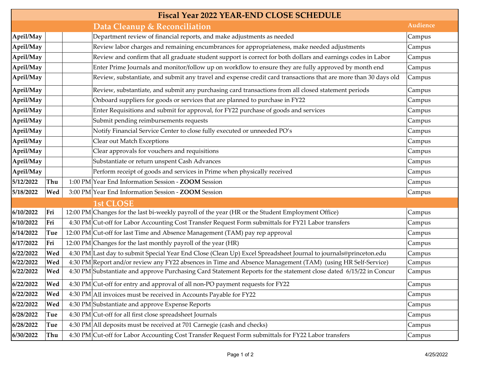| <b>Fiscal Year 2022 YEAR-END CLOSE SCHEDULE</b> |     |  |                                                                                                                    |                 |  |  |
|-------------------------------------------------|-----|--|--------------------------------------------------------------------------------------------------------------------|-----------------|--|--|
|                                                 |     |  | Data Cleanup & Reconciliation                                                                                      | <b>Audience</b> |  |  |
| April/May                                       |     |  | Department review of financial reports, and make adjustments as needed                                             | Campus          |  |  |
| April/May                                       |     |  | Review labor charges and remaining encumbrances for appropriateness, make needed adjustments                       | Campus          |  |  |
| April/May                                       |     |  | Review and confirm that all graduate student support is correct for both dollars and earnings codes in Labor       | Campus          |  |  |
| April/May                                       |     |  | Enter Prime Journals and monitor/follow up on workflow to ensure they are fully approved by month end              | Campus          |  |  |
| April/May                                       |     |  | Review, substantiate, and submit any travel and expense credit card transactions that are more than 30 days old    | Campus          |  |  |
| April/May                                       |     |  | Review, substantiate, and submit any purchasing card transactions from all closed statement periods                | Campus          |  |  |
| April/May                                       |     |  | Onboard suppliers for goods or services that are planned to purchase in FY22                                       | Campus          |  |  |
| April/May                                       |     |  | Enter Requisitions and submit for approval, for FY22 purchase of goods and services                                | Campus          |  |  |
| April/May                                       |     |  | Submit pending reimbursements requests                                                                             | Campus          |  |  |
| April/May                                       |     |  | Notify Financial Service Center to close fully executed or unneeded PO's                                           | Campus          |  |  |
| April/May                                       |     |  | Clear out Match Exceptions                                                                                         | Campus          |  |  |
| April/May                                       |     |  | Clear approvals for vouchers and requisitions                                                                      | Campus          |  |  |
| April/May                                       |     |  | Substantiate or return unspent Cash Advances                                                                       | Campus          |  |  |
| April/May                                       |     |  | Perform receipt of goods and services in Prime when physically received                                            | Campus          |  |  |
| 5/12/2022                                       | Thu |  | 1:00 PM Year End Information Session - ZOOM Session                                                                | Campus          |  |  |
| 5/18/2022                                       | Wed |  | 3:00 PM Year End Information Session - ZOOM Session                                                                | Campus          |  |  |
|                                                 |     |  | 1st CLOSE                                                                                                          |                 |  |  |
| 6/10/2022                                       | Fri |  | 12:00 PM Changes for the last bi-weekly payroll of the year (HR or the Student Employment Office)                  | Campus          |  |  |
| 6/10/2022                                       | Fri |  | 4:30 PM Cut-off for Labor Accounting Cost Transfer Request Form submittals for FY21 Labor transfers                | Campus          |  |  |
| 6/14/2022                                       | Tue |  | 12:00 PM Cut-off for last Time and Absence Management (TAM) pay rep approval                                       | Campus          |  |  |
| 6/17/2022                                       | Fri |  | 12:00 PM Changes for the last monthly payroll of the year (HR)                                                     | Campus          |  |  |
| 6/22/2022                                       | Wed |  | 4:30 PM Last day to submit Special Year End Close (Clean Up) Excel Spreadsheet Journal to journals@princeton.edu   | Campus          |  |  |
| 6/22/2022                                       | Wed |  | 4:30 PM Report and/or review any FY22 absences in Time and Absence Management (TAM) (using HR Self-Service)        | Campus          |  |  |
| 6/22/2022                                       | Wed |  | 4:30 PM Substantiate and approve Purchasing Card Statement Reports for the statement close dated 6/15/22 in Concur | Campus          |  |  |
| 6/22/2022                                       | Wed |  | 4:30 PM Cut-off for entry and approval of all non-PO payment requests for FY22                                     | Campus          |  |  |
| 6/22/2022                                       | Wed |  | 4:30 PM All invoices must be received in Accounts Payable for FY22                                                 | Campus          |  |  |
| 6/22/2022                                       | Wed |  | 4:30 PM Substantiate and approve Expense Reports                                                                   | Campus          |  |  |
| 6/28/2022                                       | Tue |  | 4:30 PM Cut-off for all first close spreadsheet Journals                                                           | Campus          |  |  |
| 6/28/2022                                       | Tue |  | 4:30 PM All deposits must be received at 701 Carnegie (cash and checks)                                            | Campus          |  |  |
| 6/30/2022                                       | Thu |  | 4:30 PM Cut-off for Labor Accounting Cost Transfer Request Form submittals for FY22 Labor transfers                | Campus          |  |  |